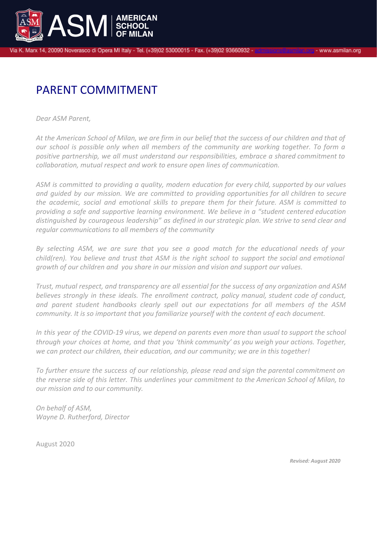

Via K. Marx 14, 20090 Noverasco di Opera MI Italy - Tel. (+39)02 53000015 - Fax. (+39)02 93660932 -

## PARENT COMMITMENT

*Dear ASM Parent,*

At the American School of Milan, we are firm in our belief that the success of our children and that of *our school is possible only when all members of the community are working together. To form a positive partnership, we all must understand our responsibilities, embrace a shared commitment to collaboration, mutual respect and work to ensure open lines of communication.*

*ASM is committed to providing a quality, modern education for every child, supported by our values and guided by our mission. We are committed to providing opportunities for all children to secure the academic, social and emotional skills to prepare them for their future. ASM is committed to providing a safe and supportive learning environment. We believe in a "student centered education distinguished by courageous leadership" as defined in our strategic plan. We strive to send clear and regular communications to all members of the community*

*By selecting ASM, we are sure that you see a good match for the educational needs of your child(ren). You believe and trust that ASM is the right school to support the social and emotional growth of our children and you share in our mission and vision and support our values.*

*Trust, mutual respect, and transparency are all essential for the success of any organization and ASM believes strongly in these ideals. The enrollment contract, policy manual, student code of conduct, and parent student handbooks clearly spell out our expectations for all members of the ASM community. It is so important that you familiarize yourself with the content of each document.*

In this year of the COVID-19 virus, we depend on parents even more than usual to support the school *through your choices at home, and that you 'think community' as you weigh your actions. Together, we can protect our children, their education, and our community; we are in this together!*

*To further ensure the success of our relationship, please read and sign the parental commitment on the reverse side of this letter. This underlines your commitment to the American School of Milan, to our mission and to our community.*

*On behalf of ASM, Wayne D. Rutherford, Director*

August 2020

*Revised: August 2020*